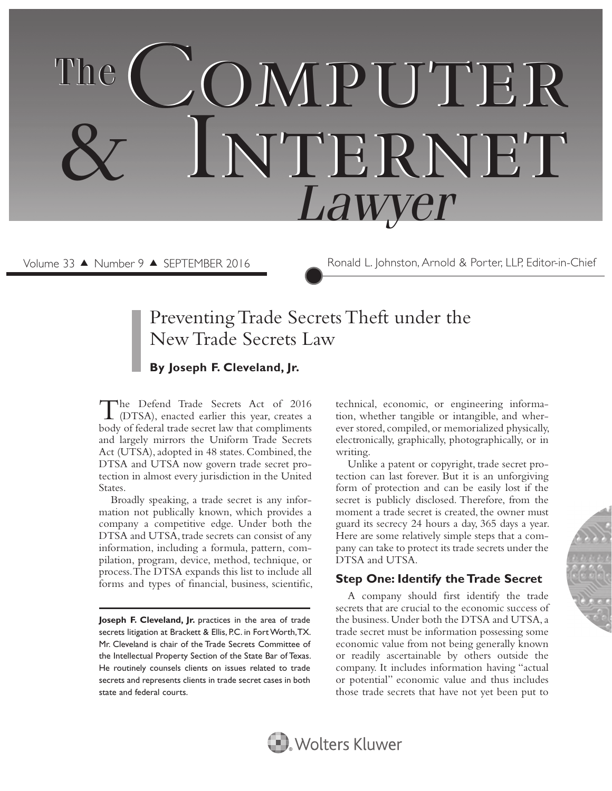# COMPUTER Internet & Internet  *Lawyer* The

Volume 33 ▲ Number 9 ▲ SEPTEMBER 2016 Ronald L. Johnston, Arnold & Porter, LLP, Editor-in-Chief

# Preventing Trade Secrets Theft under the New Trade Secrets Law

## **By Joseph F. Cleveland, Jr.**

The Defend Trade Secrets Act of 2016<br>
(DTSA), enacted earlier this year, creates a body of federal trade secret law that compliments and largely mirrors the Uniform Trade Secrets Act (UTSA), adopted in 48 states. Combined, the DTSA and UTSA now govern trade secret protection in almost every jurisdiction in the United States.

Broadly speaking, a trade secret is any information not publically known, which provides a company a competitive edge. Under both the DTSA and UTSA, trade secrets can consist of any information, including a formula, pattern, compilation, program, device, method, technique, or process. The DTSA expands this list to include all forms and types of financial, business, scientific,

Joseph F. Cleveland, Jr. practices in the area of trade secrets litigation at Brackett & Ellis, P.C. in Fort Worth, TX. Mr. Cleveland is chair of the Trade Secrets Committee of the Intellectual Property Section of the State Bar of Texas. He routinely counsels clients on issues related to trade secrets and represents clients in trade secret cases in both state and federal courts.

technical, economic, or engineering information, whether tangible or intangible, and wherever stored, compiled, or memorialized physically, electronically, graphically, photographically, or in writing.

Unlike a patent or copyright, trade secret protection can last forever. But it is an unforgiving form of protection and can be easily lost if the secret is publicly disclosed. Therefore, from the moment a trade secret is created, the owner must guard its secrecy 24 hours a day, 365 days a year. Here are some relatively simple steps that a company can take to protect its trade secrets under the DTSA and UTSA.

# **Step One: Identify the Trade Secret**

A company should first identify the trade secrets that are crucial to the economic success of the business. Under both the DTSA and UTSA, a trade secret must be information possessing some economic value from not being generally known or readily ascertainable by others outside the company. It includes information having "actual or potential" economic value and thus includes those trade secrets that have not yet been put to



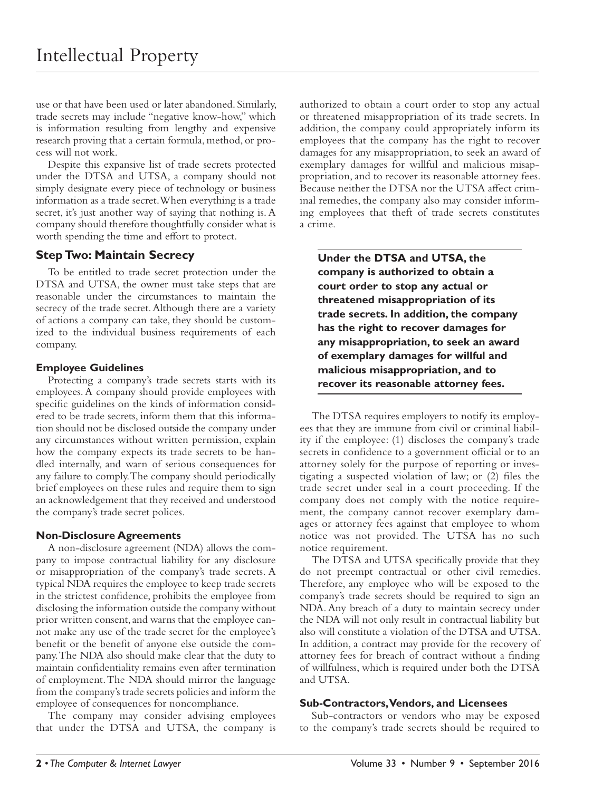use or that have been used or later abandoned. Similarly, trade secrets may include "negative know-how," which is information resulting from lengthy and expensive research proving that a certain formula, method, or process will not work.

Despite this expansive list of trade secrets protected under the DTSA and UTSA, a company should not simply designate every piece of technology or business information as a trade secret. When everything is a trade secret, it's just another way of saying that nothing is. A company should therefore thoughtfully consider what is worth spending the time and effort to protect.

#### **Step Two: Maintain Secrecy**

To be entitled to trade secret protection under the DTSA and UTSA, the owner must take steps that are reasonable under the circumstances to maintain the secrecy of the trade secret. Although there are a variety of actions a company can take, they should be customized to the individual business requirements of each company.

#### **Employee Guidelines**

Protecting a company's trade secrets starts with its employees. A company should provide employees with specific guidelines on the kinds of information considered to be trade secrets, inform them that this information should not be disclosed outside the company under any circumstances without written permission, explain how the company expects its trade secrets to be handled internally, and warn of serious consequences for any failure to comply. The company should periodically brief employees on these rules and require them to sign an acknowledgement that they received and understood the company's trade secret polices.

#### **Non-Disclosure Agreements**

A non-disclosure agreement (NDA) allows the company to impose contractual liability for any disclosure or misappropriation of the company's trade secrets. A typical NDA requires the employee to keep trade secrets in the strictest confidence, prohibits the employee from disclosing the information outside the company without prior written consent, and warns that the employee cannot make any use of the trade secret for the employee's benefit or the benefit of anyone else outside the company. The NDA also should make clear that the duty to maintain confidentiality remains even after termination of employment. The NDA should mirror the language from the company's trade secrets policies and inform the employee of consequences for noncompliance.

The company may consider advising employees that under the DTSA and UTSA, the company is

authorized to obtain a court order to stop any actual or threatened misappropriation of its trade secrets. In addition, the company could appropriately inform its employees that the company has the right to recover damages for any misappropriation, to seek an award of exemplary damages for willful and malicious misappropriation, and to recover its reasonable attorney fees. Because neither the DTSA nor the UTSA affect criminal remedies, the company also may consider informing employees that theft of trade secrets constitutes a crime.

**Under the DTSA and UTSA, the company is authorized to obtain a court order to stop any actual or threatened misappropriation of its trade secrets. In addition, the company has the right to recover damages for any misappropriation, to seek an award of exemplary damages for willful and malicious misappropriation, and to recover its reasonable attorney fees.**

The DTSA requires employers to notify its employees that they are immune from civil or criminal liability if the employee: (1) discloses the company's trade secrets in confidence to a government official or to an attorney solely for the purpose of reporting or investigating a suspected violation of law; or  $(2)$  files the trade secret under seal in a court proceeding. If the company does not comply with the notice requirement, the company cannot recover exemplary damages or attorney fees against that employee to whom notice was not provided. The UTSA has no such notice requirement.

The DTSA and UTSA specifically provide that they do not preempt contractual or other civil remedies. Therefore, any employee who will be exposed to the company's trade secrets should be required to sign an NDA. Any breach of a duty to maintain secrecy under the NDA will not only result in contractual liability but also will constitute a violation of the DTSA and UTSA. In addition, a contract may provide for the recovery of attorney fees for breach of contract without a finding of willfulness, which is required under both the DTSA and UTSA.

#### **Sub-Contractors, Vendors, and Licensees**

Sub-contractors or vendors who may be exposed to the company's trade secrets should be required to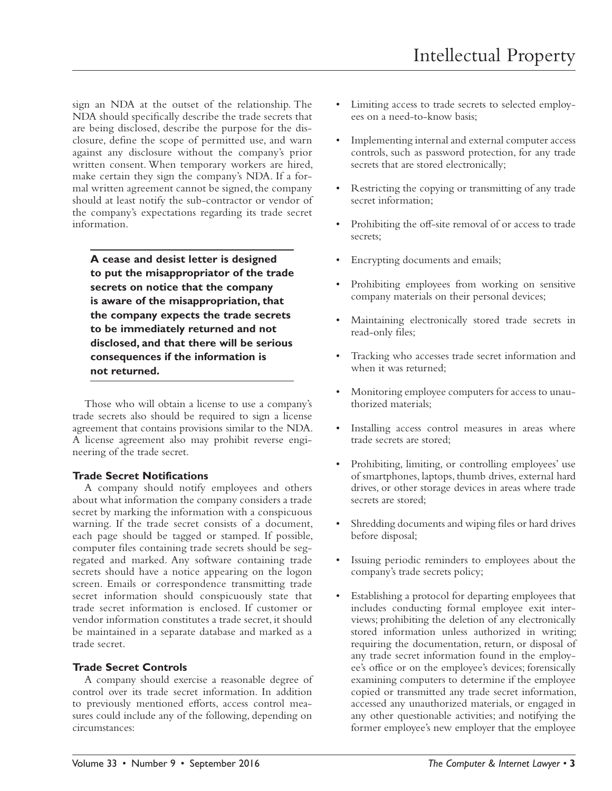sign an NDA at the outset of the relationship. The NDA should specifically describe the trade secrets that are being disclosed, describe the purpose for the disclosure, define the scope of permitted use, and warn against any disclosure without the company's prior written consent. When temporary workers are hired, make certain they sign the company's NDA. If a formal written agreement cannot be signed, the company should at least notify the sub-contractor or vendor of the company's expectations regarding its trade secret information.

**A cease and desist letter is designed to put the misappropriator of the trade secrets on notice that the company is aware of the misappropriation, that the company expects the trade secrets to be immediately returned and not disclosed, and that there will be serious consequences if the information is not returned.**

Those who will obtain a license to use a company's trade secrets also should be required to sign a license agreement that contains provisions similar to the NDA. A license agreement also may prohibit reverse engineering of the trade secret.

#### **Trade Secret Notifications**

A company should notify employees and others about what information the company considers a trade secret by marking the information with a conspicuous warning. If the trade secret consists of a document, each page should be tagged or stamped. If possible, computer files containing trade secrets should be segregated and marked. Any software containing trade secrets should have a notice appearing on the logon screen. Emails or correspondence transmitting trade secret information should conspicuously state that trade secret information is enclosed. If customer or vendor information constitutes a trade secret, it should be maintained in a separate database and marked as a trade secret.

#### **Trade Secret Controls**

A company should exercise a reasonable degree of control over its trade secret information. In addition to previously mentioned efforts, access control measures could include any of the following, depending on circumstances:

- Limiting access to trade secrets to selected employees on a need-to-know basis;
- Implementing internal and external computer access controls, such as password protection, for any trade secrets that are stored electronically;
- Restricting the copying or transmitting of any trade secret information;
- Prohibiting the off-site removal of or access to trade secrets;
- Encrypting documents and emails;
- Prohibiting employees from working on sensitive company materials on their personal devices;
- Maintaining electronically stored trade secrets in read-only files;
- Tracking who accesses trade secret information and when it was returned;
- Monitoring employee computers for access to unauthorized materials;
- Installing access control measures in areas where trade secrets are stored;
- Prohibiting, limiting, or controlling employees' use of smartphones, laptops, thumb drives, external hard drives, or other storage devices in areas where trade secrets are stored;
- Shredding documents and wiping files or hard drives before disposal;
- Issuing periodic reminders to employees about the company's trade secrets policy;
- Establishing a protocol for departing employees that includes conducting formal employee exit interviews; prohibiting the deletion of any electronically stored information unless authorized in writing; requiring the documentation, return, or disposal of any trade secret information found in the employee's office or on the employee's devices; forensically examining computers to determine if the employee copied or transmitted any trade secret information, accessed any unauthorized materials, or engaged in any other questionable activities; and notifying the former employee's new employer that the employee